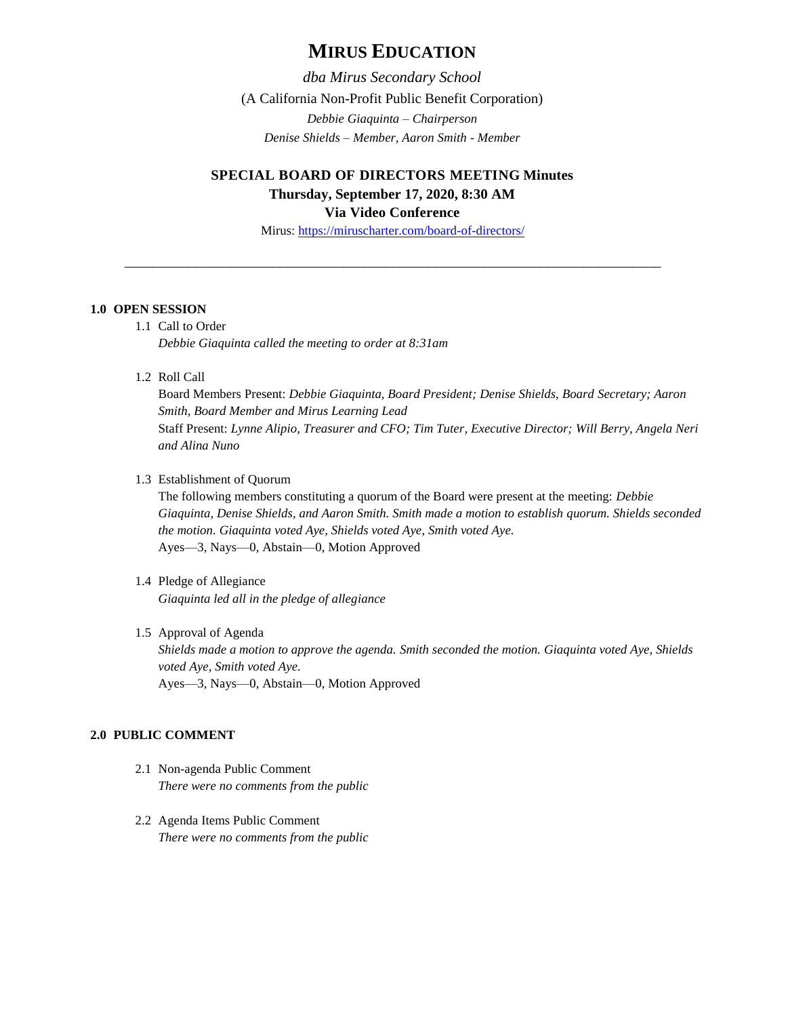# **MIRUS EDUCATION**

*dba Mirus Secondary School* (A California Non-Profit Public Benefit Corporation) *Debbie Giaquinta – Chairperson Denise Shields – Member, Aaron Smith - Member*

# **SPECIAL BOARD OF DIRECTORS MEETING Minutes Thursday, September 17, 2020, 8:30 AM Via Video Conference**

Mirus:<https://miruscharter.com/board-of-directors/>

\_\_\_\_\_\_\_\_\_\_\_\_\_\_\_\_\_\_\_\_\_\_\_\_\_\_\_\_\_\_\_\_\_\_\_\_\_\_\_\_\_\_\_\_\_\_\_\_\_\_\_\_\_\_\_\_\_\_\_\_\_\_\_\_\_\_\_\_\_\_\_\_\_\_\_\_

# **1.0 OPEN SESSION**

1.1 Call to Order *Debbie Giaquinta called the meeting to order at 8:31am*

1.2 Roll Call

Board Members Present: *Debbie Giaquinta, Board President; Denise Shields, Board Secretary; Aaron Smith, Board Member and Mirus Learning Lead* Staff Present: *Lynne Alipio, Treasurer and CFO; Tim Tuter, Executive Director; Will Berry, Angela Neri and Alina Nuno*

1.3 Establishment of Quorum

The following members constituting a quorum of the Board were present at the meeting: *Debbie Giaquinta, Denise Shields, and Aaron Smith. Smith made a motion to establish quorum. Shields seconded the motion. Giaquinta voted Aye, Shields voted Aye, Smith voted Aye.* Ayes—3, Nays—0, Abstain—0, Motion Approved

- 1.4 Pledge of Allegiance *Giaquinta led all in the pledge of allegiance*
- 1.5 Approval of Agenda *Shields made a motion to approve the agenda. Smith seconded the motion. Giaquinta voted Aye, Shields voted Aye, Smith voted Aye.* Ayes—3, Nays—0, Abstain—0, Motion Approved

# **2.0 PUBLIC COMMENT**

- 2.1 Non-agenda Public Comment *There were no comments from the public*
- 2.2 Agenda Items Public Comment *There were no comments from the public*